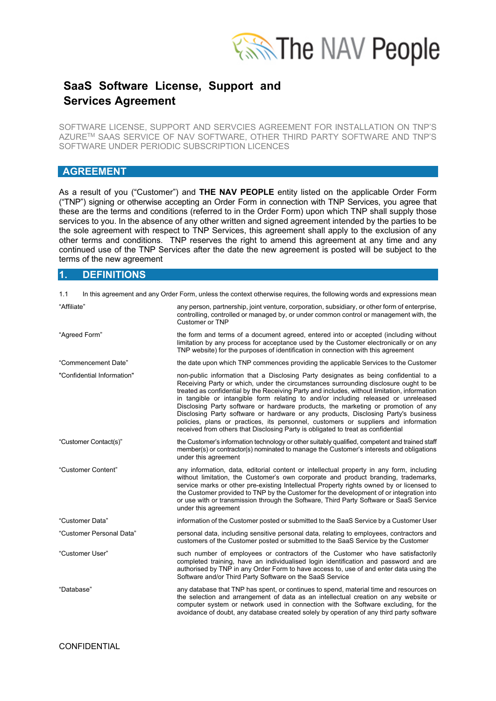

SOFTWARE LICENSE, SUPPORT AND SERVCIES AGREEMENT FOR INSTALLATION ON TNP'S AZURETM SAAS SERVICE OF NAV SOFTWARE, OTHER THIRD PARTY SOFTWARE AND TNP'S SOFTWARE UNDER PERIODIC SUBSCRIPTION LICENCES

### **AGREEMENT**

As a result of you ("Customer") and **THE NAV PEOPLE** entity listed on the applicable Order Form ("TNP") signing or otherwise accepting an Order Form in connection with TNP Services, you agree that these are the terms and conditions (referred to in the Order Form) upon which TNP shall supply those services to you. In the absence of any other written and signed agreement intended by the parties to be the sole agreement with respect to TNP Services, this agreement shall apply to the exclusion of any other terms and conditions. TNP reserves the right to amend this agreement at any time and any continued use of the TNP Services after the date the new agreement is posted will be subject to the terms of the new agreement

### **1. DEFINITIONS**

| 1.1                        | In this agreement and any Order Form, unless the context otherwise requires, the following words and expressions mean                                                                                                                                                                                                                                                                                                                                                                                                                                                                                                                                                                                                    |  |
|----------------------------|--------------------------------------------------------------------------------------------------------------------------------------------------------------------------------------------------------------------------------------------------------------------------------------------------------------------------------------------------------------------------------------------------------------------------------------------------------------------------------------------------------------------------------------------------------------------------------------------------------------------------------------------------------------------------------------------------------------------------|--|
| "Affiliate"                | any person, partnership, joint venture, corporation, subsidiary, or other form of enterprise,<br>controlling, controlled or managed by, or under common control or management with, the<br>Customer or TNP                                                                                                                                                                                                                                                                                                                                                                                                                                                                                                               |  |
| "Agreed Form"              | the form and terms of a document agreed, entered into or accepted (including without<br>limitation by any process for acceptance used by the Customer electronically or on any<br>TNP website) for the purposes of identification in connection with this agreement                                                                                                                                                                                                                                                                                                                                                                                                                                                      |  |
| "Commencement Date"        | the date upon which TNP commences providing the applicable Services to the Customer                                                                                                                                                                                                                                                                                                                                                                                                                                                                                                                                                                                                                                      |  |
| "Confidential Information" | non-public information that a Disclosing Party designates as being confidential to a<br>Receiving Party or which, under the circumstances surrounding disclosure ought to be<br>treated as confidential by the Receiving Party and includes, without limitation, information<br>in tangible or intangible form relating to and/or including released or unreleased<br>Disclosing Party software or hardware products, the marketing or promotion of any<br>Disclosing Party software or hardware or any products, Disclosing Party's business<br>policies, plans or practices, its personnel, customers or suppliers and information<br>received from others that Disclosing Party is obligated to treat as confidential |  |
| "Customer Contact(s)"      | the Customer's information technology or other suitably qualified, competent and trained staff<br>member(s) or contractor(s) nominated to manage the Customer's interests and obligations<br>under this agreement                                                                                                                                                                                                                                                                                                                                                                                                                                                                                                        |  |
| "Customer Content"         | any information, data, editorial content or intellectual property in any form, including<br>without limitation, the Customer's own corporate and product branding, trademarks,<br>service marks or other pre-existing Intellectual Property rights owned by or licensed to<br>the Customer provided to TNP by the Customer for the development of or integration into<br>or use with or transmission through the Software, Third Party Software or SaaS Service<br>under this agreement                                                                                                                                                                                                                                  |  |
| "Customer Data"            | information of the Customer posted or submitted to the SaaS Service by a Customer User                                                                                                                                                                                                                                                                                                                                                                                                                                                                                                                                                                                                                                   |  |
| "Customer Personal Data"   | personal data, including sensitive personal data, relating to employees, contractors and<br>customers of the Customer posted or submitted to the SaaS Service by the Customer                                                                                                                                                                                                                                                                                                                                                                                                                                                                                                                                            |  |
| "Customer User"            | such number of employees or contractors of the Customer who have satisfactorily<br>completed training, have an individualised login identification and password and are<br>authorised by TNP in any Order Form to have access to, use of and enter data using the<br>Software and/or Third Party Software on the SaaS Service                                                                                                                                                                                                                                                                                                                                                                                            |  |
| "Database"                 | any database that TNP has spent, or continues to spend, material time and resources on<br>the selection and arrangement of data as an intellectual creation on any website or<br>computer system or network used in connection with the Software excluding, for the<br>avoidance of doubt, any database created solely by operation of any third party software                                                                                                                                                                                                                                                                                                                                                          |  |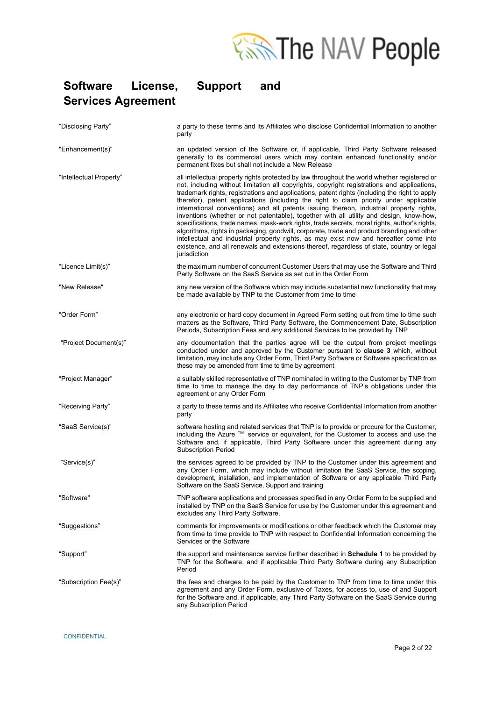

| "Disclosing Party"      | a party to these terms and its Affiliates who disclose Confidential Information to another<br>party                                                                                                                                                                                                                                                                                                                                                                                                                                                                                                                                                                                                                                                                                                                                                                                                                                                                              |  |
|-------------------------|----------------------------------------------------------------------------------------------------------------------------------------------------------------------------------------------------------------------------------------------------------------------------------------------------------------------------------------------------------------------------------------------------------------------------------------------------------------------------------------------------------------------------------------------------------------------------------------------------------------------------------------------------------------------------------------------------------------------------------------------------------------------------------------------------------------------------------------------------------------------------------------------------------------------------------------------------------------------------------|--|
| "Enhancement(s)"        | an updated version of the Software or, if applicable, Third Party Software released<br>generally to its commercial users which may contain enhanced functionality and/or<br>permanent fixes but shall not include a New Release                                                                                                                                                                                                                                                                                                                                                                                                                                                                                                                                                                                                                                                                                                                                                  |  |
| "Intellectual Property" | all intellectual property rights protected by law throughout the world whether registered or<br>not, including without limitation all copyrights, copyright registrations and applications,<br>trademark rights, registrations and applications, patent rights (including the right to apply<br>therefor), patent applications (including the right to claim priority under applicable<br>international conventions) and all patents issuing thereon, industrial property rights,<br>inventions (whether or not patentable), together with all utility and design, know-how,<br>specifications, trade names, mask-work rights, trade secrets, moral rights, author's rights,<br>algorithms, rights in packaging, goodwill, corporate, trade and product branding and other<br>intellectual and industrial property rights, as may exist now and hereafter come into<br>existence, and all renewals and extensions thereof, regardless of state, country or legal<br>jurisdiction |  |
| "Licence Limit(s)"      | the maximum number of concurrent Customer Users that may use the Software and Third<br>Party Software on the SaaS Service as set out in the Order Form                                                                                                                                                                                                                                                                                                                                                                                                                                                                                                                                                                                                                                                                                                                                                                                                                           |  |
| "New Release"           | any new version of the Software which may include substantial new functionality that may<br>be made available by TNP to the Customer from time to time                                                                                                                                                                                                                                                                                                                                                                                                                                                                                                                                                                                                                                                                                                                                                                                                                           |  |
| "Order Form"            | any electronic or hard copy document in Agreed Form setting out from time to time such<br>matters as the Software, Third Party Software, the Commencement Date, Subscription<br>Periods, Subscription Fees and any additional Services to be provided by TNP                                                                                                                                                                                                                                                                                                                                                                                                                                                                                                                                                                                                                                                                                                                     |  |
| "Project Document(s)"   | any documentation that the parties agree will be the output from project meetings<br>conducted under and approved by the Customer pursuant to clause 3 which, without<br>limitation, may include any Order Form, Third Party Software or Software specification as<br>these may be amended from time to time by agreement                                                                                                                                                                                                                                                                                                                                                                                                                                                                                                                                                                                                                                                        |  |
| "Project Manager"       | a suitably skilled representative of TNP nominated in writing to the Customer by TNP from<br>time to time to manage the day to day performance of TNP's obligations under this<br>agreement or any Order Form                                                                                                                                                                                                                                                                                                                                                                                                                                                                                                                                                                                                                                                                                                                                                                    |  |
| "Receiving Party"       | a party to these terms and its Affiliates who receive Confidential Information from another<br>party                                                                                                                                                                                                                                                                                                                                                                                                                                                                                                                                                                                                                                                                                                                                                                                                                                                                             |  |
| "SaaS Service(s)"       | software hosting and related services that TNP is to provide or procure for the Customer,<br>including the Azure ™ service or equivalent, for the Customer to access and use the<br>Software and, if applicable, Third Party Software under this agreement during any<br><b>Subscription Period</b>                                                                                                                                                                                                                                                                                                                                                                                                                                                                                                                                                                                                                                                                              |  |
| "Service(s)"            | the services agreed to be provided by TNP to the Customer under this agreement and<br>any Order Form, which may include without limitation the SaaS Service, the scoping,<br>development, installation, and implementation of Software or any applicable Third Party<br>Software on the SaaS Service, Support and training                                                                                                                                                                                                                                                                                                                                                                                                                                                                                                                                                                                                                                                       |  |
| "Software               | TNP software applications and processes specified in any Order Form to be supplied and<br>installed by TNP on the SaaS Service for use by the Customer under this agreement and<br>excludes any Third Party Software.                                                                                                                                                                                                                                                                                                                                                                                                                                                                                                                                                                                                                                                                                                                                                            |  |
| "Suggestions"           | comments for improvements or modifications or other feedback which the Customer may<br>from time to time provide to TNP with respect to Confidential Information concerning the<br>Services or the Software                                                                                                                                                                                                                                                                                                                                                                                                                                                                                                                                                                                                                                                                                                                                                                      |  |
| "Support"               | the support and maintenance service further described in <b>Schedule 1</b> to be provided by<br>TNP for the Software, and if applicable Third Party Software during any Subscription<br>Period                                                                                                                                                                                                                                                                                                                                                                                                                                                                                                                                                                                                                                                                                                                                                                                   |  |
| "Subscription Fee(s)"   | the fees and charges to be paid by the Customer to TNP from time to time under this<br>agreement and any Order Form, exclusive of Taxes, for access to, use of and Support<br>for the Software and, if applicable, any Third Party Software on the SaaS Service during<br>any Subscription Period                                                                                                                                                                                                                                                                                                                                                                                                                                                                                                                                                                                                                                                                                |  |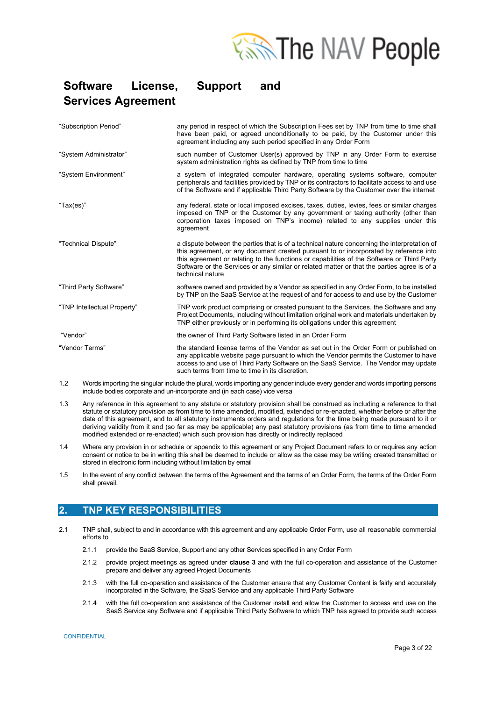

| "Subscription Period"       | any period in respect of which the Subscription Fees set by TNP from time to time shall<br>have been paid, or agreed unconditionally to be paid, by the Customer under this<br>agreement including any such period specified in any Order Form                                                                                                                                                         |
|-----------------------------|--------------------------------------------------------------------------------------------------------------------------------------------------------------------------------------------------------------------------------------------------------------------------------------------------------------------------------------------------------------------------------------------------------|
| "System Administrator"      | such number of Customer User(s) approved by TNP in any Order Form to exercise<br>system administration rights as defined by TNP from time to time                                                                                                                                                                                                                                                      |
| "System Environment"        | a system of integrated computer hardware, operating systems software, computer<br>peripherals and facilities provided by TNP or its contractors to facilitate access to and use<br>of the Software and if applicable Third Party Software by the Customer over the internet                                                                                                                            |
| "Tax(es)"                   | any federal, state or local imposed excises, taxes, duties, levies, fees or similar charges<br>imposed on TNP or the Customer by any government or taxing authority (other than<br>corporation taxes imposed on TNP's income) related to any supplies under this<br>agreement                                                                                                                          |
| "Technical Dispute"         | a dispute between the parties that is of a technical nature concerning the interpretation of<br>this agreement, or any document created pursuant to or incorporated by reference into<br>this agreement or relating to the functions or capabilities of the Software or Third Party<br>Software or the Services or any similar or related matter or that the parties agree is of a<br>technical nature |
| "Third Party Software"      | software owned and provided by a Vendor as specified in any Order Form, to be installed<br>by TNP on the SaaS Service at the request of and for access to and use by the Customer                                                                                                                                                                                                                      |
| "TNP Intellectual Property" | TNP work product comprising or created pursuant to the Services, the Software and any<br>Project Documents, including without limitation original work and materials undertaken by<br>TNP either previously or in performing its obligations under this agreement                                                                                                                                      |
| "Vendor"                    | the owner of Third Party Software listed in an Order Form                                                                                                                                                                                                                                                                                                                                              |
| "Vendor Terms"              | the standard license terms of the Vendor as set out in the Order Form or published on<br>any applicable website page pursuant to which the Vendor permits the Customer to have<br>access to and use of Third Party Software on the SaaS Service. The Vendor may update<br>such terms from time to time in its discretion.                                                                              |

- 1.2 Words importing the singular include the plural, words importing any gender include every gender and words importing persons include bodies corporate and un-incorporate and (in each case) vice versa
- 1.3 Any reference in this agreement to any statute or statutory provision shall be construed as including a reference to that statute or statutory provision as from time to time amended, modified, extended or re-enacted, whether before or after the date of this agreement, and to all statutory instruments orders and regulations for the time being made pursuant to it or deriving validity from it and (so far as may be applicable) any past statutory provisions (as from time to time amended modified extended or re-enacted) which such provision has directly or indirectly replaced
- 1.4 Where any provision in or schedule or appendix to this agreement or any Project Document refers to or requires any action consent or notice to be in writing this shall be deemed to include or allow as the case may be writing created transmitted or stored in electronic form including without limitation by email
- 1.5 In the event of any conflict between the terms of the Agreement and the terms of an Order Form, the terms of the Order Form shall prevail.

### **2. TNP KEY RESPONSIBILITIES**

- 2.1 TNP shall, subject to and in accordance with this agreement and any applicable Order Form, use all reasonable commercial efforts to
	- 2.1.1 provide the SaaS Service, Support and any other Services specified in any Order Form
	- 2.1.2 provide project meetings as agreed under **clause 3** and with the full co-operation and assistance of the Customer prepare and deliver any agreed Project Documents
	- 2.1.3 with the full co-operation and assistance of the Customer ensure that any Customer Content is fairly and accurately incorporated in the Software, the SaaS Service and any applicable Third Party Software
	- 2.1.4 with the full co-operation and assistance of the Customer install and allow the Customer to access and use on the SaaS Service any Software and if applicable Third Party Software to which TNP has agreed to provide such access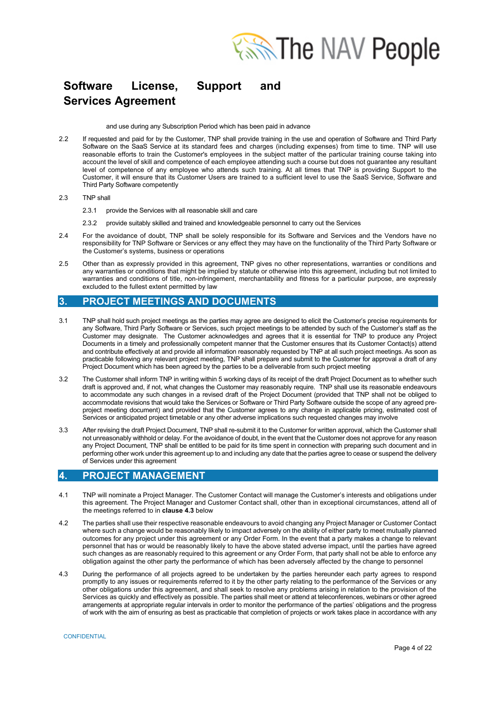

and use during any Subscription Period which has been paid in advance

2.2 If requested and paid for by the Customer, TNP shall provide training in the use and operation of Software and Third Party Software on the SaaS Service at its standard fees and charges (including expenses) from time to time. TNP will use reasonable efforts to train the Customer's employees in the subject matter of the particular training course taking into account the level of skill and competence of each employee attending such a course but does not guarantee any resultant level of competence of any employee who attends such training. At all times that TNP is providing Support to the Customer, it will ensure that its Customer Users are trained to a sufficient level to use the SaaS Service, Software and Third Party Software competently

#### 2.3 TNP shall

- 2.3.1 provide the Services with all reasonable skill and care
- 2.3.2 provide suitably skilled and trained and knowledgeable personnel to carry out the Services
- 2.4 For the avoidance of doubt, TNP shall be solely responsible for its Software and Services and the Vendors have no responsibility for TNP Software or Services or any effect they may have on the functionality of the Third Party Software or the Customer's systems, business or operations
- 2.5 Other than as expressly provided in this agreement, TNP gives no other representations, warranties or conditions and any warranties or conditions that might be implied by statute or otherwise into this agreement, including but not limited to warranties and conditions of title, non-infringement, merchantability and fitness for a particular purpose, are expressly excluded to the fullest extent permitted by law

### **3. PROJECT MEETINGS AND DOCUMENTS**

- 3.1 TNP shall hold such project meetings as the parties may agree are designed to elicit the Customer's precise requirements for any Software, Third Party Software or Services, such project meetings to be attended by such of the Customer's staff as the Customer may designate. The Customer acknowledges and agrees that it is essential for TNP to produce any Project Documents in a timely and professionally competent manner that the Customer ensures that its Customer Contact(s) attend and contribute effectively at and provide all information reasonably requested by TNP at all such project meetings. As soon as practicable following any relevant project meeting, TNP shall prepare and submit to the Customer for approval a draft of any Project Document which has been agreed by the parties to be a deliverable from such project meeting
- 3.2 The Customer shall inform TNP in writing within 5 working days of its receipt of the draft Project Document as to whether such draft is approved and, if not, what changes the Customer may reasonably require. TNP shall use its reasonable endeavours to accommodate any such changes in a revised draft of the Project Document (provided that TNP shall not be obliged to accommodate revisions that would take the Services or Software or Third Party Software outside the scope of any agreed preproject meeting document) and provided that the Customer agrees to any change in applicable pricing, estimated cost of Services or anticipated project timetable or any other adverse implications such requested changes may involve
- 3.3 After revising the draft Project Document, TNP shall re-submit it to the Customer for written approval, which the Customer shall not unreasonably withhold or delay. For the avoidance of doubt, in the event that the Customer does not approve for any reason any Project Document, TNP shall be entitled to be paid for its time spent in connection with preparing such document and in performing other work under this agreement up to and including any date that the parties agree to cease or suspend the delivery of Services under this agreement

### **4. PROJECT MANAGEMENT**

- 4.1 TNP will nominate a Project Manager. The Customer Contact will manage the Customer's interests and obligations under this agreement. The Project Manager and Customer Contact shall, other than in exceptional circumstances, attend all of the meetings referred to in **clause 4.3** below
- 4.2 The parties shall use their respective reasonable endeavours to avoid changing any Project Manager or Customer Contact where such a change would be reasonably likely to impact adversely on the ability of either party to meet mutually planned outcomes for any project under this agreement or any Order Form. In the event that a party makes a change to relevant personnel that has or would be reasonably likely to have the above stated adverse impact, until the parties have agreed such changes as are reasonably required to this agreement or any Order Form, that party shall not be able to enforce any obligation against the other party the performance of which has been adversely affected by the change to personnel
- 4.3 During the performance of all projects agreed to be undertaken by the parties hereunder each party agrees to respond promptly to any issues or requirements referred to it by the other party relating to the performance of the Services or any other obligations under this agreement, and shall seek to resolve any problems arising in relation to the provision of the Services as quickly and effectively as possible. The parties shall meet or attend at teleconferences, webinars or other agreed arrangements at appropriate regular intervals in order to monitor the performance of the parties' obligations and the progress of work with the aim of ensuring as best as practicable that completion of projects or work takes place in accordance with any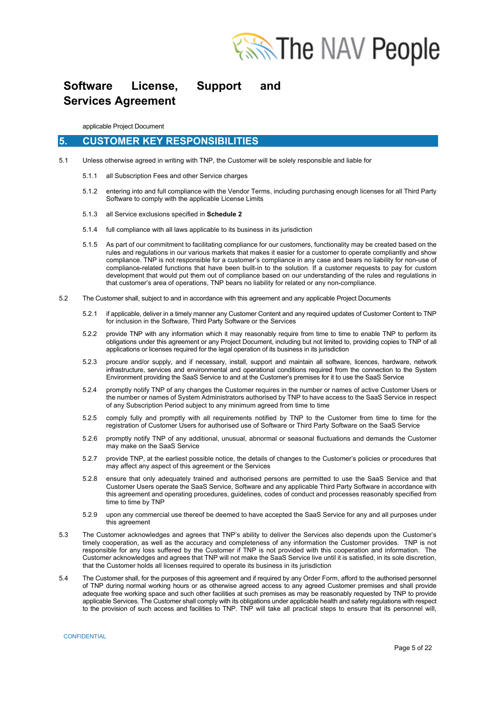

applicable Project Document

### **5. CUSTOMER KEY RESPONSIBILITIES**

- 5.1 Unless otherwise agreed in writing with TNP, the Customer will be solely responsible and liable for
	- 5.1.1 all Subscription Fees and other Service charges
	- 5.1.2 entering into and full compliance with the Vendor Terms, including purchasing enough licenses for all Third Party Software to comply with the applicable License Limits
	- 5.1.3 all Service exclusions specified in **Schedule 2**
	- 5.1.4 full compliance with all laws applicable to its business in its jurisdiction
	- 5.1.5 As part of our commitment to facilitating compliance for our customers, functionality may be created based on the rules and regulations in our various markets that makes it easier for a customer to operate compliantly and show compliance. TNP is not responsible for a customer's compliance in any case and bears no liability for non-use of compliance-related functions that have been built-in to the solution. If a customer requests to pay for custom development that would put them out of compliance based on our understanding of the rules and regulations in that customer's area of operations, TNP bears no liability for related or any non-compliance.
- 5.2 The Customer shall, subject to and in accordance with this agreement and any applicable Project Documents
	- 5.2.1 if applicable, deliver in a timely manner any Customer Content and any required updates of Customer Content to TNP for inclusion in the Software, Third Party Software or the Services
	- 5.2.2 provide TNP with any information which it may reasonably require from time to time to enable TNP to perform its obligations under this agreement or any Project Document, including but not limited to, providing copies to TNP of all applications or licenses required for the legal operation of its business in its jurisdiction
	- 5.2.3 procure and/or supply, and if necessary, install, support and maintain all software, licences, hardware, network infrastructure, services and environmental and operational conditions required from the connection to the System Environment providing the SaaS Service to and at the Customer's premises for it to use the SaaS Service
	- 5.2.4 promptly notify TNP of any changes the Customer requires in the number or names of active Customer Users or the number or names of System Administrators authorised by TNP to have access to the SaaS Service in respect of any Subscription Period subject to any minimum agreed from time to time
	- 5.2.5 comply fully and promptly with all requirements notified by TNP to the Customer from time to time for the registration of Customer Users for authorised use of Software or Third Party Software on the SaaS Service
	- 5.2.6 promptly notify TNP of any additional, unusual, abnormal or seasonal fluctuations and demands the Customer may make on the SaaS Service
	- 5.2.7 provide TNP, at the earliest possible notice, the details of changes to the Customer's policies or procedures that may affect any aspect of this agreement or the Services
	- 5.2.8 ensure that only adequately trained and authorised persons are permitted to use the SaaS Service and that Customer Users operate the SaaS Service, Software and any applicable Third Party Software in accordance with this agreement and operating procedures, guidelines, codes of conduct and processes reasonably specified from time to time by TNP
	- 5.2.9 upon any commercial use thereof be deemed to have accepted the SaaS Service for any and all purposes under this agreement
- 5.3 The Customer acknowledges and agrees that TNP's ability to deliver the Services also depends upon the Customer's timely cooperation, as well as the accuracy and completeness of any information the Customer provides. TNP is not responsible for any loss suffered by the Customer if TNP is not provided with this cooperation and information. The Customer acknowledges and agrees that TNP will not make the SaaS Service live until it is satisfied, in its sole discretion, that the Customer holds all licenses required to operate its business in its jurisdiction
- 5.4 The Customer shall, for the purposes of this agreement and if required by any Order Form, afford to the authorised personnel of TNP during normal working hours or as otherwise agreed access to any agreed Customer premises and shall provide adequate free working space and such other facilities at such premises as may be reasonably requested by TNP to provide applicable Services. The Customer shall comply with its obligations under applicable health and safety regulations with respect to the provision of such access and facilities to TNP. TNP will take all practical steps to ensure that its personnel will,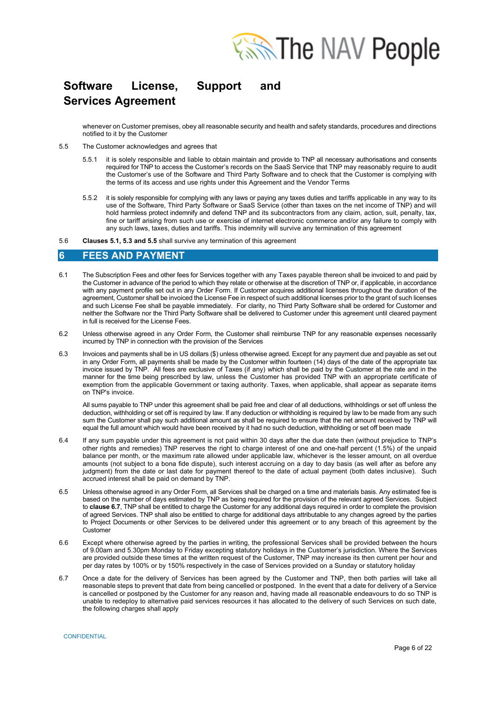

whenever on Customer premises, obey all reasonable security and health and safety standards, procedures and directions notified to it by the Customer

- 5.5 The Customer acknowledges and agrees that
	- 5.5.1 it is solely responsible and liable to obtain maintain and provide to TNP all necessary authorisations and consents required for TNP to access the Customer's records on the SaaS Service that TNP may reasonably require to audit the Customer's use of the Software and Third Party Software and to check that the Customer is complying with the terms of its access and use rights under this Agreement and the Vendor Terms
	- 5.5.2 it is solely responsible for complying with any laws or paying any taxes duties and tariffs applicable in any way to its use of the Software, Third Party Software or SaaS Service (other than taxes on the net income of TNP) and will hold harmless protect indemnify and defend TNP and its subcontractors from any claim, action, suit, penalty, tax, fine or tariff arising from such use or exercise of internet electronic commerce and/or any failure to comply with any such laws, taxes, duties and tariffs. This indemnity will survive any termination of this agreement
- 5.6 **Clauses 5.1, 5.3 and 5.5** shall survive any termination of this agreement

### **6 FEES AND PAYMENT**

- 6.1 The Subscription Fees and other fees for Services together with any Taxes payable thereon shall be invoiced to and paid by the Customer in advance of the period to which they relate or otherwise at the discretion of TNP or, if applicable, in accordance with any payment profile set out in any Order Form. If Customer acquires additional licenses throughout the duration of the agreement, Customer shall be invoiced the License Fee in respect of such additional licenses prior to the grant of such licenses and such License Fee shall be payable immediately. For clarity, no Third Party Software shall be ordered for Customer and neither the Software nor the Third Party Software shall be delivered to Customer under this agreement until cleared payment in full is received for the License Fees.
- 6.2 Unless otherwise agreed in any Order Form, the Customer shall reimburse TNP for any reasonable expenses necessarily incurred by TNP in connection with the provision of the Services
- 6.3 Invoices and payments shall be in US dollars (\$) unless otherwise agreed. Except for any payment due and payable as set out in any Order Form, all payments shall be made by the Customer within fourteen (14) days of the date of the appropriate tax invoice issued by TNP. All fees are exclusive of Taxes (if any) which shall be paid by the Customer at the rate and in the manner for the time being prescribed by law, unless the Customer has provided TNP with an appropriate certificate of exemption from the applicable Government or taxing authority. Taxes, when applicable, shall appear as separate items on TNP's invoice.

All sums payable to TNP under this agreement shall be paid free and clear of all deductions, withholdings or set off unless the deduction, withholding or set off is required by law. If any deduction or withholding is required by law to be made from any such sum the Customer shall pay such additional amount as shall be required to ensure that the net amount received by TNP will equal the full amount which would have been received by it had no such deduction, withholding or set off been made

- 6.4 If any sum payable under this agreement is not paid within 30 days after the due date then (without prejudice to TNP's other rights and remedies) TNP reserves the right to charge interest of one and one-half percent (1.5%) of the unpaid balance per month, or the maximum rate allowed under applicable law, whichever is the lesser amount, on all overdue amounts (not subject to a bona fide dispute), such interest accruing on a day to day basis (as well after as before any judgment) from the date or last date for payment thereof to the date of actual payment (both dates inclusive). Such accrued interest shall be paid on demand by TNP.
- 6.5 Unless otherwise agreed in any Order Form, all Services shall be charged on a time and materials basis. Any estimated fee is based on the number of days estimated by TNP as being required for the provision of the relevant agreed Services. Subject to **clause 6.7**, TNP shall be entitled to charge the Customer for any additional days required in order to complete the provision of agreed Services. TNP shall also be entitled to charge for additional days attributable to any changes agreed by the parties to Project Documents or other Services to be delivered under this agreement or to any breach of this agreement by the Customer
- 6.6 Except where otherwise agreed by the parties in writing, the professional Services shall be provided between the hours of 9.00am and 5.30pm Monday to Friday excepting statutory holidays in the Customer's jurisdiction. Where the Services are provided outside these times at the written request of the Customer, TNP may increase its then current per hour and per day rates by 100% or by 150% respectively in the case of Services provided on a Sunday or statutory holiday
- 6.7 Once a date for the delivery of Services has been agreed by the Customer and TNP, then both parties will take all reasonable steps to prevent that date from being cancelled or postponed. In the event that a date for delivery of a Service is cancelled or postponed by the Customer for any reason and, having made all reasonable endeavours to do so TNP is unable to redeploy to alternative paid services resources it has allocated to the delivery of such Services on such date, the following charges shall apply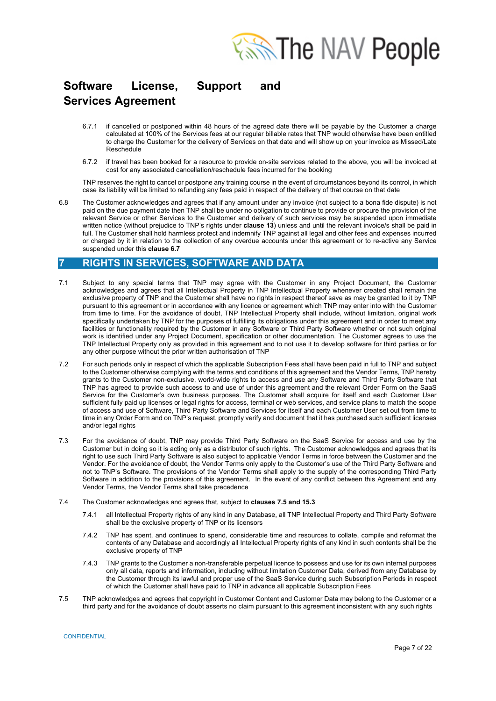

- 6.7.1 if cancelled or postponed within 48 hours of the agreed date there will be payable by the Customer a charge calculated at 100% of the Services fees at our regular billable rates that TNP would otherwise have been entitled to charge the Customer for the delivery of Services on that date and will show up on your invoice as Missed/Late Reschedule
- 6.7.2 if travel has been booked for a resource to provide on-site services related to the above, you will be invoiced at cost for any associated cancellation/reschedule fees incurred for the booking

TNP reserves the right to cancel or postpone any training course in the event of circumstances beyond its control, in which case its liability will be limited to refunding any fees paid in respect of the delivery of that course on that date

6.8 The Customer acknowledges and agrees that if any amount under any invoice (not subject to a bona fide dispute) is not paid on the due payment date then TNP shall be under no obligation to continue to provide or procure the provision of the relevant Service or other Services to the Customer and delivery of such services may be suspended upon immediate written notice (without prejudice to TNP's rights under **clause 13**) unless and until the relevant invoice/s shall be paid in full. The Customer shall hold harmless protect and indemnify TNP against all legal and other fees and expenses incurred or charged by it in relation to the collection of any overdue accounts under this agreement or to re-active any Service suspended under this **clause 6.7**

### **7 RIGHTS IN SERVICES, SOFTWARE AND DATA**

- 7.1 Subject to any special terms that TNP may agree with the Customer in any Project Document, the Customer acknowledges and agrees that all Intellectual Property in TNP Intellectual Property whenever created shall remain the exclusive property of TNP and the Customer shall have no rights in respect thereof save as may be granted to it by TNP pursuant to this agreement or in accordance with any licence or agreement which TNP may enter into with the Customer from time to time. For the avoidance of doubt, TNP Intellectual Property shall include, without limitation, original work specifically undertaken by TNP for the purposes of fulfilling its obligations under this agreement and in order to meet any facilities or functionality required by the Customer in any Software or Third Party Software whether or not such original work is identified under any Project Document, specification or other documentation. The Customer agrees to use the TNP Intellectual Property only as provided in this agreement and to not use it to develop software for third parties or for any other purpose without the prior written authorisation of TNP
- 7.2 For such periods only in respect of which the applicable Subscription Fees shall have been paid in full to TNP and subject to the Customer otherwise complying with the terms and conditions of this agreement and the Vendor Terms, TNP hereby grants to the Customer non-exclusive, world-wide rights to access and use any Software and Third Party Software that TNP has agreed to provide such access to and use of under this agreement and the relevant Order Form on the SaaS Service for the Customer's own business purposes. The Customer shall acquire for itself and each Customer User sufficient fully paid up licenses or legal rights for access, terminal or web services, and service plans to match the scope of access and use of Software, Third Party Software and Services for itself and each Customer User set out from time to time in any Order Form and on TNP's request, promptly verify and document that it has purchased such sufficient licenses and/or legal rights
- 7.3 For the avoidance of doubt, TNP may provide Third Party Software on the SaaS Service for access and use by the Customer but in doing so it is acting only as a distributor of such rights. The Customer acknowledges and agrees that its right to use such Third Party Software is also subject to applicable Vendor Terms in force between the Customer and the Vendor. For the avoidance of doubt, the Vendor Terms only apply to the Customer's use of the Third Party Software and not to TNP's Software. The provisions of the Vendor Terms shall apply to the supply of the corresponding Third Party Software in addition to the provisions of this agreement. In the event of any conflict between this Agreement and any Vendor Terms, the Vendor Terms shall take precedence
- 7.4 The Customer acknowledges and agrees that, subject to **clauses 7.5 and 15.3**
	- 7.4.1 all Intellectual Property rights of any kind in any Database, all TNP Intellectual Property and Third Party Software shall be the exclusive property of TNP or its licensors
	- 7.4.2 TNP has spent, and continues to spend, considerable time and resources to collate, compile and reformat the contents of any Database and accordingly all Intellectual Property rights of any kind in such contents shall be the exclusive property of TNP
	- 7.4.3 TNP grants to the Customer a non-transferable perpetual licence to possess and use for its own internal purposes only all data, reports and information, including without limitation Customer Data, derived from any Database by the Customer through its lawful and proper use of the SaaS Service during such Subscription Periods in respect of which the Customer shall have paid to TNP in advance all applicable Subscription Fees
- 7.5 TNP acknowledges and agrees that copyright in Customer Content and Customer Data may belong to the Customer or a third party and for the avoidance of doubt asserts no claim pursuant to this agreement inconsistent with any such rights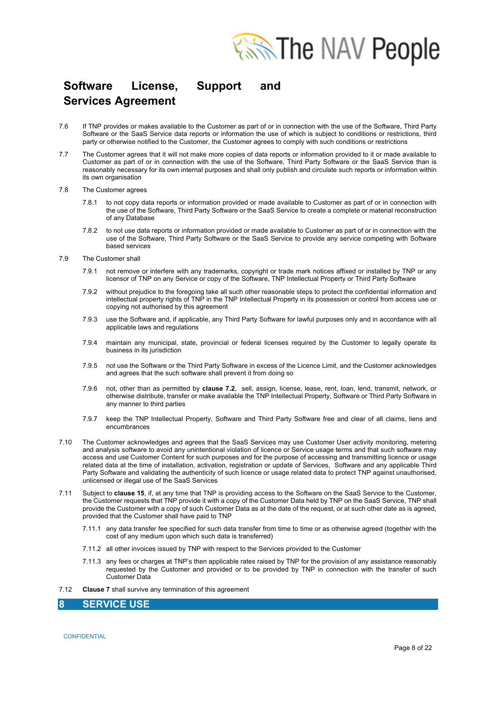

- 7.6 If TNP provides or makes available to the Customer as part of or in connection with the use of the Software, Third Party Software or the SaaS Service data reports or information the use of which is subject to conditions or restrictions, third party or otherwise notified to the Customer, the Customer agrees to comply with such conditions or restrictions
- 7.7 The Customer agrees that it will not make more copies of data reports or information provided to it or made available to Customer as part of or in connection with the use of the Software, Third Party Software or the SaaS Service than is reasonably necessary for its own internal purposes and shall only publish and circulate such reports or information within its own organisation
- 7.8 The Customer agrees
	- 7.8.1 to not copy data reports or information provided or made available to Customer as part of or in connection with the use of the Software, Third Party Software or the SaaS Service to create a complete or material reconstruction of any Database
	- 7.8.2 to not use data reports or information provided or made available to Customer as part of or in connection with the use of the Software, Third Party Software or the SaaS Service to provide any service competing with Software based services
- 7.9 The Customer shall
	- 7.9.1 not remove or interfere with any trademarks, copyright or trade mark notices affixed or installed by TNP or any licensor of TNP on any Service or copy of the Software, TNP Intellectual Property or Third Party Software
	- 7.9.2 without prejudice to the foregoing take all such other reasonable steps to protect the confidential information and intellectual property rights of TNP in the TNP Intellectual Property in its possession or control from access use or copying not authorised by this agreement
	- 7.9.3 use the Software and, if applicable, any Third Party Software for lawful purposes only and in accordance with all applicable laws and regulations
	- 7.9.4 maintain any municipal, state, provincial or federal licenses required by the Customer to legally operate its business in its jurisdiction
	- 7.9.5 not use the Software or the Third Party Software in excess of the Licence Limit, and the Customer acknowledges and agrees that the such software shall prevent it from doing so
	- 7.9.6 not, other than as permitted by **clause 7.2**, sell, assign, license, lease, rent, loan, lend, transmit, network, or otherwise distribute, transfer or make available the TNP Intellectual Property, Software or Third Party Software in any manner to third parties
	- 7.9.7 keep the TNP Intellectual Property, Software and Third Party Software free and clear of all claims, liens and encumbrances
- 7.10 The Customer acknowledges and agrees that the SaaS Services may use Customer User activity monitoring, metering and analysis software to avoid any unintentional violation of licence or Service usage terms and that such software may access and use Customer Content for such purposes and for the purpose of accessing and transmitting licence or usage related data at the time of installation, activation, registration or update of Services, Software and any applicable Third Party Software and validating the authenticity of such licence or usage related data to protect TNP against unauthorised, unlicensed or illegal use of the SaaS Services
- 7.11 Subject to **clause 15**, if, at any time that TNP is providing access to the Software on the SaaS Service to the Customer, the Customer requests that TNP provide it with a copy of the Customer Data held by TNP on the SaaS Service, TNP shall provide the Customer with a copy of such Customer Data as at the date of the request, or at such other date as is agreed, provided that the Customer shall have paid to TNP
	- 7.11.1 any data transfer fee specified for such data transfer from time to time or as otherwise agreed (together with the cost of any medium upon which such data is transferred)
	- 7.11.2 all other invoices issued by TNP with respect to the Services provided to the Customer
	- 7.11.3 any fees or charges at TNP's then applicable rates raised by TNP for the provision of any assistance reasonably requested by the Customer and provided or to be provided by TNP in connection with the transfer of such Customer Data
- 7.12 **Clause 7** shall survive any termination of this agreement

### **8 SERVICE USE**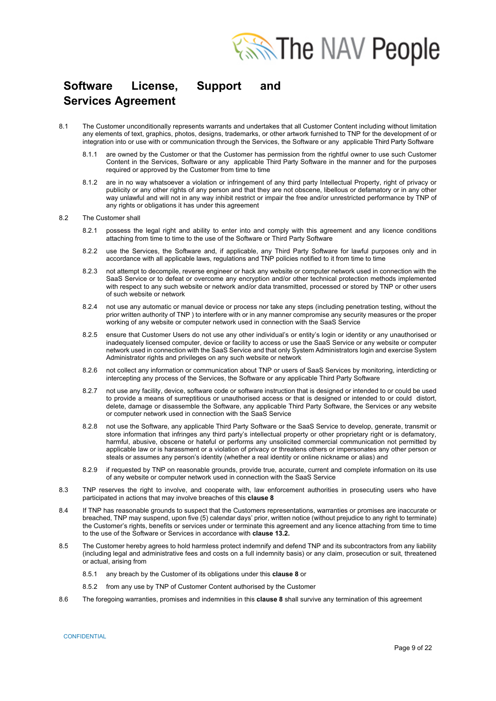

- 8.1 The Customer unconditionally represents warrants and undertakes that all Customer Content including without limitation any elements of text, graphics, photos, designs, trademarks, or other artwork furnished to TNP for the development of or integration into or use with or communication through the Services, the Software or any applicable Third Party Software
	- 8.1.1 are owned by the Customer or that the Customer has permission from the rightful owner to use such Customer Content in the Services, Software or any applicable Third Party Software in the manner and for the purposes required or approved by the Customer from time to time
	- 8.1.2 are in no way whatsoever a violation or infringement of any third party Intellectual Property, right of privacy or publicity or any other rights of any person and that they are not obscene, libellous or defamatory or in any other way unlawful and will not in any way inhibit restrict or impair the free and/or unrestricted performance by TNP of any rights or obligations it has under this agreement
- 8.2 The Customer shall
	- 8.2.1 possess the legal right and ability to enter into and comply with this agreement and any licence conditions attaching from time to time to the use of the Software or Third Party Software
	- 8.2.2 use the Services, the Software and, if applicable, any Third Party Software for lawful purposes only and in accordance with all applicable laws, regulations and TNP policies notified to it from time to time
	- 8.2.3 not attempt to decompile, reverse engineer or hack any website or computer network used in connection with the SaaS Service or to defeat or overcome any encryption and/or other technical protection methods implemented with respect to any such website or network and/or data transmitted, processed or stored by TNP or other users of such website or network
	- 8.2.4 not use any automatic or manual device or process nor take any steps (including penetration testing, without the prior written authority of TNP ) to interfere with or in any manner compromise any security measures or the proper working of any website or computer network used in connection with the SaaS Service
	- 8.2.5 ensure that Customer Users do not use any other individual's or entity's login or identity or any unauthorised or inadequately licensed computer, device or facility to access or use the SaaS Service or any website or computer network used in connection with the SaaS Service and that only System Administrators login and exercise System Administrator rights and privileges on any such website or network
	- 8.2.6 not collect any information or communication about TNP or users of SaaS Services by monitoring, interdicting or intercepting any process of the Services, the Software or any applicable Third Party Software
	- 8.2.7 not use any facility, device, software code or software instruction that is designed or intended to or could be used to provide a means of surreptitious or unauthorised access or that is designed or intended to or could distort, delete, damage or disassemble the Software, any applicable Third Party Software, the Services or any website or computer network used in connection with the SaaS Service
	- 8.2.8 not use the Software, any applicable Third Party Software or the SaaS Service to develop, generate, transmit or store information that infringes any third party's intellectual property or other proprietary right or is defamatory, harmful, abusive, obscene or hateful or performs any unsolicited commercial communication not permitted by applicable law or is harassment or a violation of privacy or threatens others or impersonates any other person or steals or assumes any person's identity (whether a real identity or online nickname or alias) and
	- 8.2.9 if requested by TNP on reasonable grounds, provide true, accurate, current and complete information on its use of any website or computer network used in connection with the SaaS Service
- 8.3 TNP reserves the right to involve, and cooperate with, law enforcement authorities in prosecuting users who have participated in actions that may involve breaches of this **clause 8**
- 8.4 If TNP has reasonable grounds to suspect that the Customers representations, warranties or promises are inaccurate or breached, TNP may suspend, upon five (5) calendar days' prior, written notice (without prejudice to any right to terminate) the Customer's rights, benefits or services under or terminate this agreement and any licence attaching from time to time to the use of the Software or Services in accordance with **clause 13.2.**
- 8.5 The Customer hereby agrees to hold harmless protect indemnify and defend TNP and its subcontractors from any liability (including legal and administrative fees and costs on a full indemnity basis) or any claim, prosecution or suit, threatened or actual, arising from
	- 8.5.1 any breach by the Customer of its obligations under this **clause 8** or
	- 8.5.2 from any use by TNP of Customer Content authorised by the Customer
- 8.6 The foregoing warranties, promises and indemnities in this **clause 8** shall survive any termination of this agreement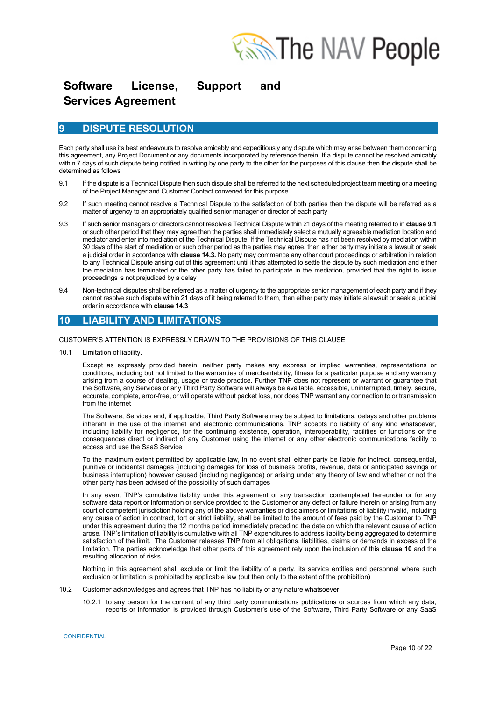

### **9 DISPUTE RESOLUTION**

Each party shall use its best endeavours to resolve amicably and expeditiously any dispute which may arise between them concerning this agreement, any Project Document or any documents incorporated by reference therein. If a dispute cannot be resolved amicably within 7 days of such dispute being notified in writing by one party to the other for the purposes of this clause then the dispute shall be determined as follows

- 9.1 If the dispute is a Technical Dispute then such dispute shall be referred to the next scheduled project team meeting or a meeting of the Project Manager and Customer Contact convened for this purpose
- 9.2 If such meeting cannot resolve a Technical Dispute to the satisfaction of both parties then the dispute will be referred as a matter of urgency to an appropriately qualified senior manager or director of each party
- 9.3 If such senior managers or directors cannot resolve a Technical Dispute within 21 days of the meeting referred to in **clause 9.1** or such other period that they may agree then the parties shall immediately select a mutually agreeable mediation location and mediator and enter into mediation of the Technical Dispute. If the Technical Dispute has not been resolved by mediation within 30 days of the start of mediation or such other period as the parties may agree, then either party may initiate a lawsuit or seek a judicial order in accordance with **clause 14.3.** No party may commence any other court proceedings or arbitration in relation to any Technical Dispute arising out of this agreement until it has attempted to settle the dispute by such mediation and either the mediation has terminated or the other party has failed to participate in the mediation, provided that the right to issue proceedings is not prejudiced by a delay
- 9.4 Non-technical disputes shall be referred as a matter of urgency to the appropriate senior management of each party and if they cannot resolve such dispute within 21 days of it being referred to them, then either party may initiate a lawsuit or seek a judicial order in accordance with **clause 14.3**

### **10 LIABILITY AND LIMITATIONS**

#### CUSTOMER'S ATTENTION IS EXPRESSLY DRAWN TO THE PROVISIONS OF THIS CLAUSE

10.1 Limitation of liability.

Except as expressly provided herein, neither party makes any express or implied warranties, representations or conditions, including but not limited to the warranties of merchantability, fitness for a particular purpose and any warranty arising from a course of dealing, usage or trade practice. Further TNP does not represent or warrant or guarantee that the Software, any Services or any Third Party Software will always be available, accessible, uninterrupted, timely, secure, accurate, complete, error-free, or will operate without packet loss, nor does TNP warrant any connection to or transmission from the internet

The Software, Services and, if applicable, Third Party Software may be subject to limitations, delays and other problems inherent in the use of the internet and electronic communications. TNP accepts no liability of any kind whatsoever, including liability for negligence, for the continuing existence, operation, interoperability, facilities or functions or the consequences direct or indirect of any Customer using the internet or any other electronic communications facility to access and use the SaaS Service

To the maximum extent permitted by applicable law, in no event shall either party be liable for indirect, consequential, punitive or incidental damages (including damages for loss of business profits, revenue, data or anticipated savings or business interruption) however caused (including negligence) or arising under any theory of law and whether or not the other party has been advised of the possibility of such damages

In any event TNP's cumulative liability under this agreement or any transaction contemplated hereunder or for any software data report or information or service provided to the Customer or any defect or failure therein or arising from any court of competent jurisdiction holding any of the above warranties or disclaimers or limitations of liability invalid, including any cause of action in contract, tort or strict liability, shall be limited to the amount of fees paid by the Customer to TNP under this agreement during the 12 months period immediately preceding the date on which the relevant cause of action arose. TNP's limitation of liability is cumulative with all TNP expenditures to address liability being aggregated to determine satisfaction of the limit. The Customer releases TNP from all obligations, liabilities, claims or demands in excess of the limitation. The parties acknowledge that other parts of this agreement rely upon the inclusion of this **clause 10** and the resulting allocation of risks

Nothing in this agreement shall exclude or limit the liability of a party, its service entities and personnel where such exclusion or limitation is prohibited by applicable law (but then only to the extent of the prohibition)

- 10.2 Customer acknowledges and agrees that TNP has no liability of any nature whatsoever
	- 10.2.1 to any person for the content of any third party communications publications or sources from which any data, reports or information is provided through Customer's use of the Software, Third Party Software or any SaaS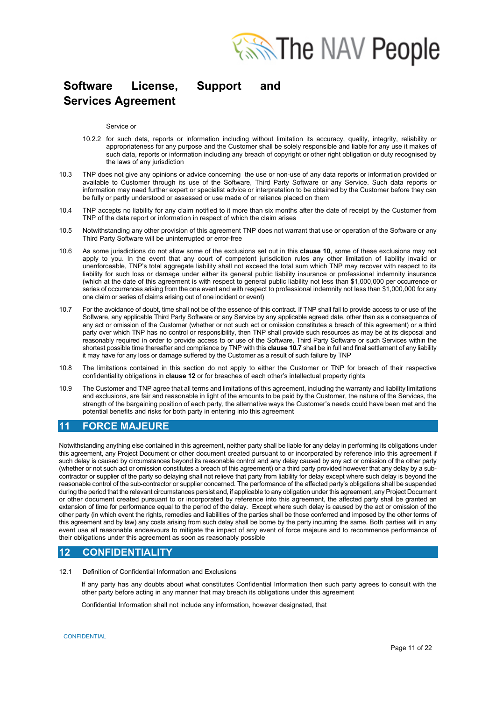

Service or

- 10.2.2 for such data, reports or information including without limitation its accuracy, quality, integrity, reliability or appropriateness for any purpose and the Customer shall be solely responsible and liable for any use it makes of such data, reports or information including any breach of copyright or other right obligation or duty recognised by the laws of any jurisdiction
- 10.3 TNP does not give any opinions or advice concerning the use or non-use of any data reports or information provided or available to Customer through its use of the Software, Third Party Software or any Service. Such data reports or information may need further expert or specialist advice or interpretation to be obtained by the Customer before they can be fully or partly understood or assessed or use made of or reliance placed on them
- 10.4 TNP accepts no liability for any claim notified to it more than six months after the date of receipt by the Customer from TNP of the data report or information in respect of which the claim arises
- 10.5 Notwithstanding any other provision of this agreement TNP does not warrant that use or operation of the Software or any Third Party Software will be uninterrupted or error-free
- 10.6 As some jurisdictions do not allow some of the exclusions set out in this **clause 10**, some of these exclusions may not apply to you. In the event that any court of competent jurisdiction rules any other limitation of liability invalid or unenforceable, TNP's total aggregate liability shall not exceed the total sum which TNP may recover with respect to its liability for such loss or damage under either its general public liability insurance or professional indemnity insurance (which at the date of this agreement is with respect to general public liability not less than \$1,000,000 per occurrence or series of occurrences arising from the one event and with respect to professional indemnity not less than \$1,000,000 for any one claim or series of claims arising out of one incident or event)
- 10.7 For the avoidance of doubt, time shall not be of the essence of this contract. If TNP shall fail to provide access to or use of the Software, any applicable Third Party Software or any Service by any applicable agreed date, other than as a consequence of any act or omission of the Customer (whether or not such act or omission constitutes a breach of this agreement) or a third party over which TNP has no control or responsibility, then TNP shall provide such resources as may be at its disposal and reasonably required in order to provide access to or use of the Software, Third Party Software or such Services within the shortest possible time thereafter and compliance by TNP with this **clause 10.7** shall be in full and final settlement of any liability it may have for any loss or damage suffered by the Customer as a result of such failure by TNP
- 10.8 The limitations contained in this section do not apply to either the Customer or TNP for breach of their respective confidentiality obligations in **clause 12** or for breaches of each other's intellectual property rights
- 10.9 The Customer and TNP agree that all terms and limitations of this agreement, including the warranty and liability limitations and exclusions, are fair and reasonable in light of the amounts to be paid by the Customer, the nature of the Services, the strength of the bargaining position of each party, the alternative ways the Customer's needs could have been met and the potential benefits and risks for both party in entering into this agreement

## **11 FORCE MAJEURE**

Notwithstanding anything else contained in this agreement, neither party shall be liable for any delay in performing its obligations under this agreement, any Project Document or other document created pursuant to or incorporated by reference into this agreement if such delay is caused by circumstances beyond its reasonable control and any delay caused by any act or omission of the other party (whether or not such act or omission constitutes a breach of this agreement) or a third party provided however that any delay by a subcontractor or supplier of the party so delaying shall not relieve that party from liability for delay except where such delay is beyond the reasonable control of the sub-contractor or supplier concerned. The performance of the affected party's obligations shall be suspended during the period that the relevant circumstances persist and, if applicable to any obligation under this agreement, any Project Document or other document created pursuant to or incorporated by reference into this agreement, the affected party shall be granted an extension of time for performance equal to the period of the delay. Except where such delay is caused by the act or omission of the other party (in which event the rights, remedies and liabilities of the parties shall be those conferred and imposed by the other terms of this agreement and by law) any costs arising from such delay shall be borne by the party incurring the same. Both parties will in any event use all reasonable endeavours to mitigate the impact of any event of force majeure and to recommence performance of their obligations under this agreement as soon as reasonably possible

## **12 CONFIDENTIALITY**

12.1 Definition of Confidential Information and Exclusions

If any party has any doubts about what constitutes Confidential Information then such party agrees to consult with the other party before acting in any manner that may breach its obligations under this agreement

Confidential Information shall not include any information, however designated, that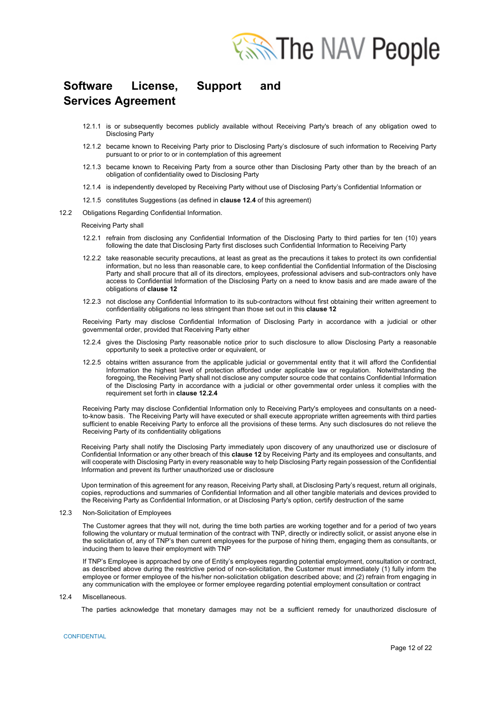

- 12.1.1 is or subsequently becomes publicly available without Receiving Party's breach of any obligation owed to Disclosing Party
- 12.1.2 became known to Receiving Party prior to Disclosing Party's disclosure of such information to Receiving Party pursuant to or prior to or in contemplation of this agreement
- 12.1.3 became known to Receiving Party from a source other than Disclosing Party other than by the breach of an obligation of confidentiality owed to Disclosing Party
- 12.1.4 is independently developed by Receiving Party without use of Disclosing Party's Confidential Information or
- 12.1.5 constitutes Suggestions (as defined in **clause 12.4** of this agreement)
- 12.2 Obligations Regarding Confidential Information.

Receiving Party shall

- 12.2.1 refrain from disclosing any Confidential Information of the Disclosing Party to third parties for ten (10) years following the date that Disclosing Party first discloses such Confidential Information to Receiving Party
- 12.2.2 take reasonable security precautions, at least as great as the precautions it takes to protect its own confidential information, but no less than reasonable care, to keep confidential the Confidential Information of the Disclosing Party and shall procure that all of its directors, employees, professional advisers and sub-contractors only have access to Confidential Information of the Disclosing Party on a need to know basis and are made aware of the obligations of **clause 12**
- 12.2.3 not disclose any Confidential Information to its sub-contractors without first obtaining their written agreement to confidentiality obligations no less stringent than those set out in this **clause 12**

Receiving Party may disclose Confidential Information of Disclosing Party in accordance with a judicial or other governmental order, provided that Receiving Party either

- 12.2.4 gives the Disclosing Party reasonable notice prior to such disclosure to allow Disclosing Party a reasonable opportunity to seek a protective order or equivalent, or
- 12.2.5 obtains written assurance from the applicable judicial or governmental entity that it will afford the Confidential Information the highest level of protection afforded under applicable law or regulation. Notwithstanding the foregoing, the Receiving Party shall not disclose any computer source code that contains Confidential Information of the Disclosing Party in accordance with a judicial or other governmental order unless it complies with the requirement set forth in **clause 12.2.4**

Receiving Party may disclose Confidential Information only to Receiving Party's employees and consultants on a needto-know basis. The Receiving Party will have executed or shall execute appropriate written agreements with third parties sufficient to enable Receiving Party to enforce all the provisions of these terms. Any such disclosures do not relieve the Receiving Party of its confidentiality obligations

Receiving Party shall notify the Disclosing Party immediately upon discovery of any unauthorized use or disclosure of Confidential Information or any other breach of this **clause 12** by Receiving Party and its employees and consultants, and will cooperate with Disclosing Party in every reasonable way to help Disclosing Party regain possession of the Confidential Information and prevent its further unauthorized use or disclosure

Upon termination of this agreement for any reason, Receiving Party shall, at Disclosing Party's request, return all originals, copies, reproductions and summaries of Confidential Information and all other tangible materials and devices provided to the Receiving Party as Confidential Information, or at Disclosing Party's option, certify destruction of the same

12.3 Non-Solicitation of Employees

The Customer agrees that they will not, during the time both parties are working together and for a period of two years following the voluntary or mutual termination of the contract with TNP, directly or indirectly solicit, or assist anyone else in the solicitation of, any of TNP's then current employees for the purpose of hiring them, engaging them as consultants, or inducing them to leave their employment with TNP

If TNP's Employee is approached by one of Entity's employees regarding potential employment, consultation or contract, as described above during the restrictive period of non-solicitation, the Customer must immediately (1) fully inform the employee or former employee of the his/her non-solicitation obligation described above; and (2) refrain from engaging in any communication with the employee or former employee regarding potential employment consultation or contract

12.4 Miscellaneous.

The parties acknowledge that monetary damages may not be a sufficient remedy for unauthorized disclosure of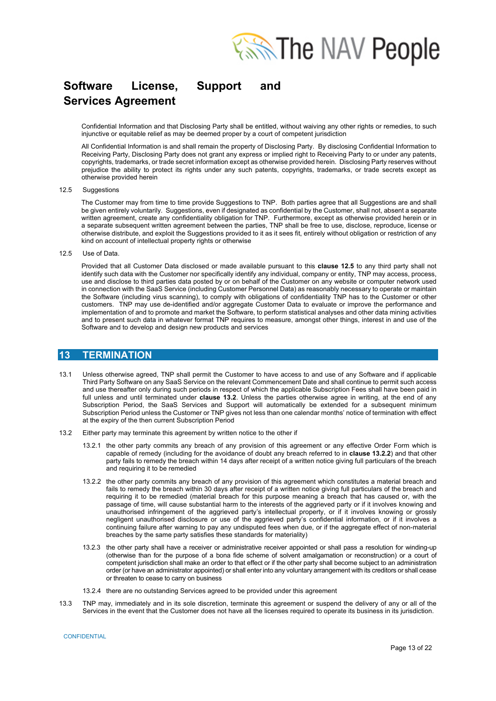

Confidential Information and that Disclosing Party shall be entitled, without waiving any other rights or remedies, to such injunctive or equitable relief as may be deemed proper by a court of competent jurisdiction

All Confidential Information is and shall remain the property of Disclosing Party. By disclosing Confidential Information to Receiving Party, Disclosing Party does not grant any express or implied right to Receiving Party to or under any patents, copyrights, trademarks, or trade secret information except as otherwise provided herein. Disclosing Party reserves without prejudice the ability to protect its rights under any such patents, copyrights, trademarks, or trade secrets except as otherwise provided herein

#### 12.5 Suggestions

The Customer may from time to time provide Suggestions to TNP. Both parties agree that all Suggestions are and shall be given entirely voluntarily. Suggestions, even if designated as confidential by the Customer, shall not, absent a separate written agreement, create any confidentiality obligation for TNP. Furthermore, except as otherwise provided herein or in a separate subsequent written agreement between the parties, TNP shall be free to use, disclose, reproduce, license or otherwise distribute, and exploit the Suggestions provided to it as it sees fit, entirely without obligation or restriction of any kind on account of intellectual property rights or otherwise

12.5 Use of Data.

Provided that all Customer Data disclosed or made available pursuant to this **clause 12.5** to any third party shall not identify such data with the Customer nor specifically identify any individual, company or entity, TNP may access, process, use and disclose to third parties data posted by or on behalf of the Customer on any website or computer network used in connection with the SaaS Service (including Customer Personnel Data) as reasonably necessary to operate or maintain the Software (including virus scanning), to comply with obligations of confidentiality TNP has to the Customer or other customers. TNP may use de-identified and/or aggregate Customer Data to evaluate or improve the performance and implementation of and to promote and market the Software, to perform statistical analyses and other data mining activities and to present such data in whatever format TNP requires to measure, amongst other things, interest in and use of the Software and to develop and design new products and services

### **13 TERMINATION**

- 13.1 Unless otherwise agreed, TNP shall permit the Customer to have access to and use of any Software and if applicable Third Party Software on any SaaS Service on the relevant Commencement Date and shall continue to permit such access and use thereafter only during such periods in respect of which the applicable Subscription Fees shall have been paid in full unless and until terminated under **clause 13.2**. Unless the parties otherwise agree in writing, at the end of any Subscription Period, the SaaS Services and Support will automatically be extended for a subsequent minimum Subscription Period unless the Customer or TNP gives not less than one calendar months' notice of termination with effect at the expiry of the then current Subscription Period
- 13.2 Either party may terminate this agreement by written notice to the other if
	- 13.2.1 the other party commits any breach of any provision of this agreement or any effective Order Form which is capable of remedy (including for the avoidance of doubt any breach referred to in **clause 13.2.2**) and that other party fails to remedy the breach within 14 days after receipt of a written notice giving full particulars of the breach and requiring it to be remedied
	- 13.2.2 the other party commits any breach of any provision of this agreement which constitutes a material breach and fails to remedy the breach within 30 days after receipt of a written notice giving full particulars of the breach and requiring it to be remedied (material breach for this purpose meaning a breach that has caused or, with the passage of time, will cause substantial harm to the interests of the aggrieved party or if it involves knowing and unauthorised infringement of the aggrieved party's intellectual property, or if it involves knowing or grossly negligent unauthorised disclosure or use of the aggrieved party's confidential information, or if it involves a continuing failure after warning to pay any undisputed fees when due, or if the aggregate effect of non-material breaches by the same party satisfies these standards for materiality)
	- 13.2.3 the other party shall have a receiver or administrative receiver appointed or shall pass a resolution for winding-up (otherwise than for the purpose of a bona fide scheme of solvent amalgamation or reconstruction) or a court of competent jurisdiction shall make an order to that effect or if the other party shall become subject to an administration order (or have an administrator appointed) or shall enter into any voluntary arrangement with its creditors or shall cease or threaten to cease to carry on business
	- 13.2.4 there are no outstanding Services agreed to be provided under this agreement
- 13.3 TNP may, immediately and in its sole discretion, terminate this agreement or suspend the delivery of any or all of the Services in the event that the Customer does not have all the licenses required to operate its business in its jurisdiction.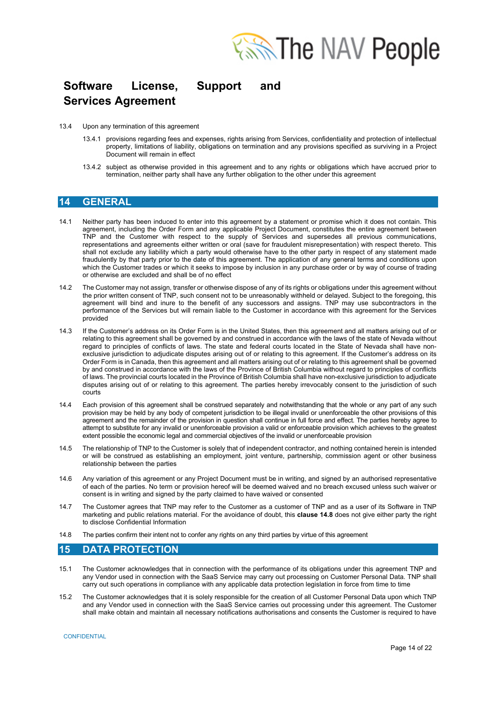

- 13.4 Upon any termination of this agreement
	- 13.4.1 provisions regarding fees and expenses, rights arising from Services, confidentiality and protection of intellectual property, limitations of liability, obligations on termination and any provisions specified as surviving in a Project Document will remain in effect
	- 13.4.2 subject as otherwise provided in this agreement and to any rights or obligations which have accrued prior to termination, neither party shall have any further obligation to the other under this agreement

### **14 GENERAL**

- 14.1 Neither party has been induced to enter into this agreement by a statement or promise which it does not contain. This agreement, including the Order Form and any applicable Project Document, constitutes the entire agreement between TNP and the Customer with respect to the supply of Services and supersedes all previous communications, representations and agreements either written or oral (save for fraudulent misrepresentation) with respect thereto. This shall not exclude any liability which a party would otherwise have to the other party in respect of any statement made fraudulently by that party prior to the date of this agreement. The application of any general terms and conditions upon which the Customer trades or which it seeks to impose by inclusion in any purchase order or by way of course of trading or otherwise are excluded and shall be of no effect
- 14.2 The Customer may not assign, transfer or otherwise dispose of any of its rights or obligations under this agreement without the prior written consent of TNP, such consent not to be unreasonably withheld or delayed. Subject to the foregoing, this agreement will bind and inure to the benefit of any successors and assigns. TNP may use subcontractors in the performance of the Services but will remain liable to the Customer in accordance with this agreement for the Services provided
- 14.3 If the Customer's address on its Order Form is in the United States, then this agreement and all matters arising out of or relating to this agreement shall be governed by and construed in accordance with the laws of the state of Nevada without regard to principles of conflicts of laws. The state and federal courts located in the State of Nevada shall have nonexclusive jurisdiction to adjudicate disputes arising out of or relating to this agreement. If the Customer's address on its Order Form is in Canada, then this agreement and all matters arising out of or relating to this agreement shall be governed by and construed in accordance with the laws of the Province of British Columbia without regard to principles of conflicts of laws. The provincial courts located in the Province of British Columbia shall have non-exclusive jurisdiction to adjudicate disputes arising out of or relating to this agreement. The parties hereby irrevocably consent to the jurisdiction of such courts
- 14.4 Each provision of this agreement shall be construed separately and notwithstanding that the whole or any part of any such provision may be held by any body of competent jurisdiction to be illegal invalid or unenforceable the other provisions of this agreement and the remainder of the provision in question shall continue in full force and effect. The parties hereby agree to attempt to substitute for any invalid or unenforceable provision a valid or enforceable provision which achieves to the greatest extent possible the economic legal and commercial objectives of the invalid or unenforceable provision
- 14.5 The relationship of TNP to the Customer is solely that of independent contractor, and nothing contained herein is intended or will be construed as establishing an employment, joint venture, partnership, commission agent or other business relationship between the parties
- 14.6 Any variation of this agreement or any Project Document must be in writing, and signed by an authorised representative of each of the parties. No term or provision hereof will be deemed waived and no breach excused unless such waiver or consent is in writing and signed by the party claimed to have waived or consented
- 14.7 The Customer agrees that TNP may refer to the Customer as a customer of TNP and as a user of its Software in TNP marketing and public relations material. For the avoidance of doubt, this **clause 14.8** does not give either party the right to disclose Confidential Information
- 14.8 The parties confirm their intent not to confer any rights on any third parties by virtue of this agreement

### **15 DATA PROTECTION**

- 15.1 The Customer acknowledges that in connection with the performance of its obligations under this agreement TNP and any Vendor used in connection with the SaaS Service may carry out processing on Customer Personal Data. TNP shall carry out such operations in compliance with any applicable data protection legislation in force from time to time
- 15.2 The Customer acknowledges that it is solely responsible for the creation of all Customer Personal Data upon which TNP and any Vendor used in connection with the SaaS Service carries out processing under this agreement. The Customer shall make obtain and maintain all necessary notifications authorisations and consents the Customer is required to have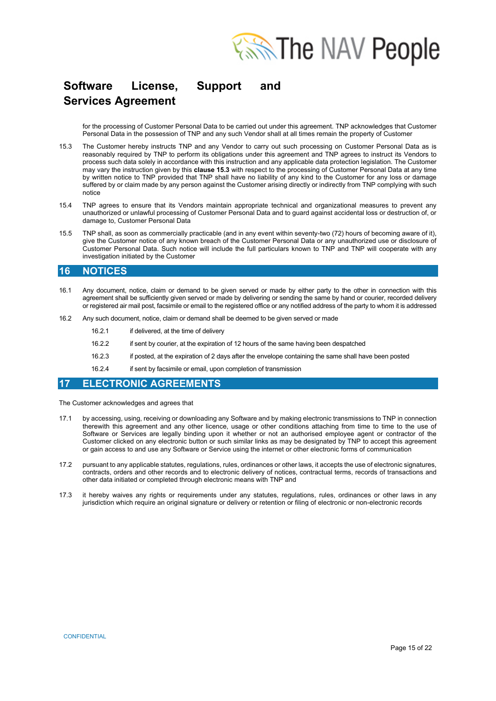

for the processing of Customer Personal Data to be carried out under this agreement. TNP acknowledges that Customer Personal Data in the possession of TNP and any such Vendor shall at all times remain the property of Customer

- 15.3 The Customer hereby instructs TNP and any Vendor to carry out such processing on Customer Personal Data as is reasonably required by TNP to perform its obligations under this agreement and TNP agrees to instruct its Vendors to process such data solely in accordance with this instruction and any applicable data protection legislation. The Customer may vary the instruction given by this **clause 15.3** with respect to the processing of Customer Personal Data at any time by written notice to TNP provided that TNP shall have no liability of any kind to the Customer for any loss or damage suffered by or claim made by any person against the Customer arising directly or indirectly from TNP complying with such notice
- 15.4 TNP agrees to ensure that its Vendors maintain appropriate technical and organizational measures to prevent any unauthorized or unlawful processing of Customer Personal Data and to guard against accidental loss or destruction of, or damage to, Customer Personal Data
- 15.5 TNP shall, as soon as commercially practicable (and in any event within seventy-two (72) hours of becoming aware of it), give the Customer notice of any known breach of the Customer Personal Data or any unauthorized use or disclosure of Customer Personal Data. Such notice will include the full particulars known to TNP and TNP will cooperate with any investigation initiated by the Customer

### **16 NOTICES**

- 16.1 Any document, notice, claim or demand to be given served or made by either party to the other in connection with this agreement shall be sufficiently given served or made by delivering or sending the same by hand or courier, recorded delivery or registered air mail post, facsimile or email to the registered office or any notified address of the party to whom it is addressed
- 16.2 Any such document, notice, claim or demand shall be deemed to be given served or made
	- 16.2.1 if delivered, at the time of delivery
	- 16.2.2 if sent by courier, at the expiration of 12 hours of the same having been despatched
	- 16.2.3 if posted, at the expiration of 2 days after the envelope containing the same shall have been posted
	- 16.2.4 if sent by facsimile or email, upon completion of transmission

### **17 ELECTRONIC AGREEMENTS**

The Customer acknowledges and agrees that

- 17.1 by accessing, using, receiving or downloading any Software and by making electronic transmissions to TNP in connection therewith this agreement and any other licence, usage or other conditions attaching from time to time to the use of Software or Services are legally binding upon it whether or not an authorised employee agent or contractor of the Customer clicked on any electronic button or such similar links as may be designated by TNP to accept this agreement or gain access to and use any Software or Service using the internet or other electronic forms of communication
- 17.2 pursuant to any applicable statutes, regulations, rules, ordinances or other laws, it accepts the use of electronic signatures, contracts, orders and other records and to electronic delivery of notices, contractual terms, records of transactions and other data initiated or completed through electronic means with TNP and
- 17.3 it hereby waives any rights or requirements under any statutes, regulations, rules, ordinances or other laws in any jurisdiction which require an original signature or delivery or retention or filing of electronic or non-electronic records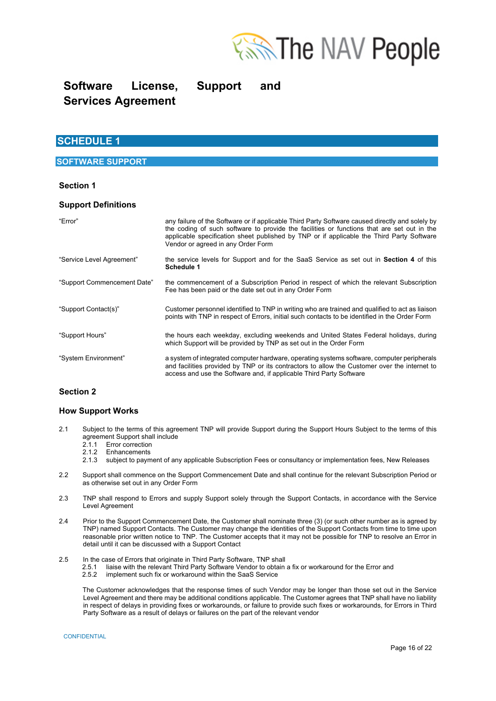

## **SCHEDULE 1**

### **SOFTWARE SUPPORT**

### **Section 1**

### **Support Definitions**

| "Error"                     | any failure of the Software or if applicable Third Party Software caused directly and solely by<br>the coding of such software to provide the facilities or functions that are set out in the<br>applicable specification sheet published by TNP or if applicable the Third Party Software<br>Vendor or agreed in any Order Form |
|-----------------------------|----------------------------------------------------------------------------------------------------------------------------------------------------------------------------------------------------------------------------------------------------------------------------------------------------------------------------------|
| "Service Level Agreement"   | the service levels for Support and for the SaaS Service as set out in Section 4 of this<br><b>Schedule 1</b>                                                                                                                                                                                                                     |
| "Support Commencement Date" | the commencement of a Subscription Period in respect of which the relevant Subscription<br>Fee has been paid or the date set out in any Order Form                                                                                                                                                                               |
| "Support Contact(s)"        | Customer personnel identified to TNP in writing who are trained and qualified to act as liaison<br>points with TNP in respect of Errors, initial such contacts to be identified in the Order Form                                                                                                                                |
| "Support Hours"             | the hours each weekday, excluding weekends and United States Federal holidays, during<br>which Support will be provided by TNP as set out in the Order Form                                                                                                                                                                      |
| "System Environment"        | a system of integrated computer hardware, operating systems software, computer peripherals<br>and facilities provided by TNP or its contractors to allow the Customer over the internet to<br>access and use the Software and, if applicable Third Party Software                                                                |

### **Section 2**

#### **How Support Works**

- 2.1 Subject to the terms of this agreement TNP will provide Support during the Support Hours Subject to the terms of this agreement Support shall include
	- 2.1.1 Error correction
	- 2.1.1 Enor correction
	- 2.1.3 subject to payment of any applicable Subscription Fees or consultancy or implementation fees, New Releases
- 2.2 Support shall commence on the Support Commencement Date and shall continue for the relevant Subscription Period or as otherwise set out in any Order Form
- 2.3 TNP shall respond to Errors and supply Support solely through the Support Contacts, in accordance with the Service Level Agreement
- 2.4 Prior to the Support Commencement Date, the Customer shall nominate three (3) (or such other number as is agreed by TNP) named Support Contacts. The Customer may change the identities of the Support Contacts from time to time upon reasonable prior written notice to TNP. The Customer accepts that it may not be possible for TNP to resolve an Error in detail until it can be discussed with a Support Contact
- 2.5 In the case of Errors that originate in Third Party Software, TNP shall
	- 2.5.1 liaise with the relevant Third Party Software Vendor to obtain a fix or workaround for the Error and
		- 2.5.2 implement such fix or workaround within the SaaS Service

The Customer acknowledges that the response times of such Vendor may be longer than those set out in the Service Level Agreement and there may be additional conditions applicable. The Customer agrees that TNP shall have no liability in respect of delays in providing fixes or workarounds, or failure to provide such fixes or workarounds, for Errors in Third Party Software as a result of delays or failures on the part of the relevant vendor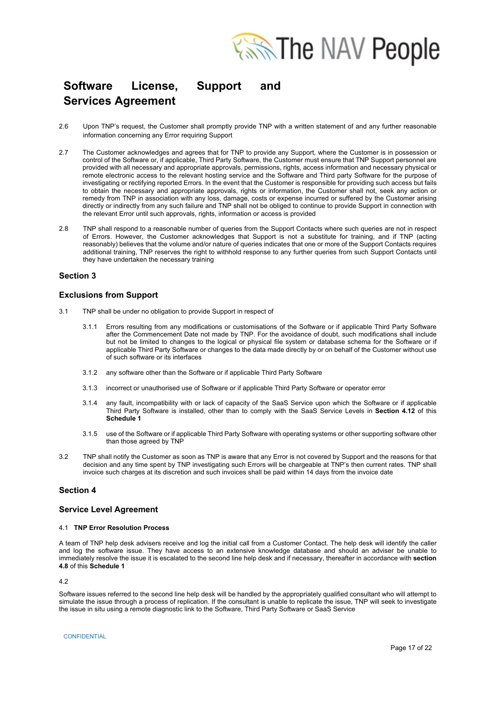

- 2.6 Upon TNP's request, the Customer shall promptly provide TNP with a written statement of and any further reasonable information concerning any Error requiring Support
- 2.7 The Customer acknowledges and agrees that for TNP to provide any Support, where the Customer is in possession or control of the Software or, if applicable, Third Party Software, the Customer must ensure that TNP Support personnel are provided with all necessary and appropriate approvals, permissions, rights, access information and necessary physical or remote electronic access to the relevant hosting service and the Software and Third party Software for the purpose of investigating or rectifying reported Errors. In the event that the Customer is responsible for providing such access but fails to obtain the necessary and appropriate approvals, rights or information, the Customer shall not, seek any action or remedy from TNP in association with any loss, damage, costs or expense incurred or suffered by the Customer arising directly or indirectly from any such failure and TNP shall not be obliged to continue to provide Support in connection with the relevant Error until such approvals, rights, information or access is provided
- 2.8 TNP shall respond to a reasonable number of queries from the Support Contacts where such queries are not in respect of Errors. However, the Customer acknowledges that Support is not a substitute for training, and if TNP (acting reasonably) believes that the volume and/or nature of queries indicates that one or more of the Support Contacts requires additional training, TNP reserves the right to withhold response to any further queries from such Support Contacts until they have undertaken the necessary training

#### **Section 3**

#### **Exclusions from Support**

- 3.1 TNP shall be under no obligation to provide Support in respect of
	- 3.1.1 Errors resulting from any modifications or customisations of the Software or if applicable Third Party Software after the Commencement Date not made by TNP. For the avoidance of doubt, such modifications shall include but not be limited to changes to the logical or physical file system or database schema for the Software or if applicable Third Party Software or changes to the data made directly by or on behalf of the Customer without use of such software or its interfaces
	- 3.1.2 any software other than the Software or if applicable Third Party Software
	- 3.1.3 incorrect or unauthorised use of Software or if applicable Third Party Software or operator error
	- 3.1.4 any fault, incompatibility with or lack of capacity of the SaaS Service upon which the Software or if applicable Third Party Software is installed, other than to comply with the SaaS Service Levels in **Section 4.12** of this **Schedule 1**
	- 3.1.5 use of the Software or if applicable Third Party Software with operating systems or other supporting software other than those agreed by TNP
- 3.2 TNP shall notify the Customer as soon as TNP is aware that any Error is not covered by Support and the reasons for that decision and any time spent by TNP investigating such Errors will be chargeable at TNP's then current rates. TNP shall invoice such charges at its discretion and such invoices shall be paid within 14 days from the invoice date

### **Section 4**

#### **Service Level Agreement**

#### 4.1 **TNP Error Resolution Process**

A team of TNP help desk advisers receive and log the initial call from a Customer Contact. The help desk will identify the caller and log the software issue. They have access to an extensive knowledge database and should an adviser be unable to immediately resolve the issue it is escalated to the second line help desk and if necessary, thereafter in accordance with **section 4.8** of this **Schedule 1**

 $4.2$ 

Software issues referred to the second line help desk will be handled by the appropriately qualified consultant who will attempt to simulate the issue through a process of replication. If the consultant is unable to replicate the issue, TNP will seek to investigate the issue in situ using a remote diagnostic link to the Software, Third Party Software or SaaS Service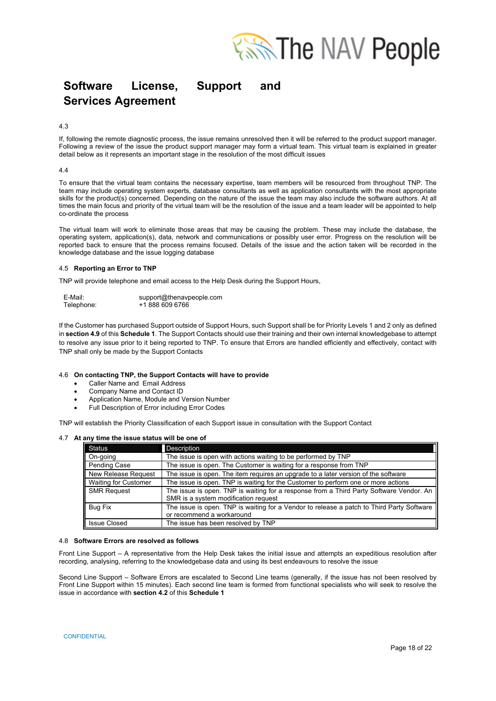

#### 4.3

If, following the remote diagnostic process, the issue remains unresolved then it will be referred to the product support manager. Following a review of the issue the product support manager may form a virtual team. This virtual team is explained in greater detail below as it represents an important stage in the resolution of the most difficult issues

#### 4.4

To ensure that the virtual team contains the necessary expertise, team members will be resourced from throughout TNP. The team may include operating system experts, database consultants as well as application consultants with the most appropriate skills for the product(s) concerned. Depending on the nature of the issue the team may also include the software authors. At all times the main focus and priority of the virtual team will be the resolution of the issue and a team leader will be appointed to help co-ordinate the process

The virtual team will work to eliminate those areas that may be causing the problem. These may include the database, the operating system, application(s), data, network and communications or possibly user error. Progress on the resolution will be reported back to ensure that the process remains focused. Details of the issue and the action taken will be recorded in the knowledge database and the issue logging database

#### 4.5 **Reporting an Error to TNP**

TNP will provide telephone and email access to the Help Desk during the Support Hours,

| E-Mail:    | support@thenavpeople.com |
|------------|--------------------------|
| Telephone: | +1 888 609 6766          |

If the Customer has purchased Support outside of Support Hours, such Support shall be for Priority Levels 1 and 2 only as defined in **section 4.9** of this **Schedule 1**. The Support Contacts should use their training and their own internal knowledgebase to attempt to resolve any issue prior to it being reported to TNP. To ensure that Errors are handled efficiently and effectively, contact with TNP shall only be made by the Support Contacts

#### 4.6 **On contacting TNP, the Support Contacts will have to provide**

- Caller Name and Email Address
- Company Name and Contact ID
- Application Name, Module and Version Number
- Full Description of Error including Error Codes

TNP will establish the Priority Classification of each Support issue in consultation with the Support Contact

#### 4.7 **At any time the issue status will be one of**

| <b>Status</b>               | <b>Description</b>                                                                                                              |
|-----------------------------|---------------------------------------------------------------------------------------------------------------------------------|
| On-going                    | The issue is open with actions waiting to be performed by TNP                                                                   |
| <b>Pending Case</b>         | The issue is open. The Customer is waiting for a response from TNP                                                              |
| New Release Request         | The issue is open. The item requires an upgrade to a later version of the software                                              |
| <b>Waiting for Customer</b> | The issue is open. TNP is waiting for the Customer to perform one or more actions                                               |
| <b>SMR Request</b>          | The issue is open. TNP is waiting for a response from a Third Party Software Vendor. An<br>SMR is a system modification request |
| <b>Bug Fix</b>              | The issue is open. TNP is waiting for a Vendor to release a patch to Third Party Software                                       |
|                             | or recommend a workaround                                                                                                       |
| <b>Issue Closed</b>         | The issue has been resolved by TNP                                                                                              |

#### 4.8 **Software Errors are resolved as follows**

Front Line Support – A representative from the Help Desk takes the initial issue and attempts an expeditious resolution after recording, analysing, referring to the knowledgebase data and using its best endeavours to resolve the issue

Second Line Support – Software Errors are escalated to Second Line teams (generally, if the issue has not been resolved by Front Line Support within 15 minutes). Each second line team is formed from functional specialists who will seek to resolve the issue in accordance with **section 4.2** of this **Schedule 1**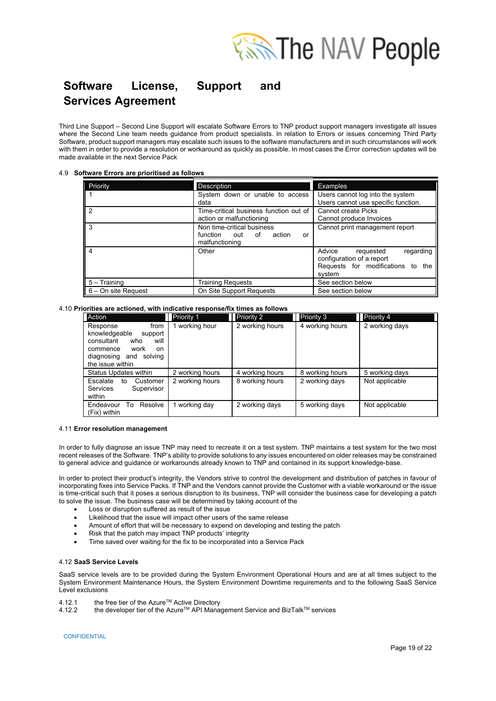

Third Line Support – Second Line Support will escalate Software Errors to TNP product support managers investigate all issues where the Second Line team needs guidance from product specialists. In relation to Errors or issues concerning Third Party Software, product support managers may escalate such issues to the software manufacturers and in such circumstances will work with them in order to provide a resolution or workaround as quickly as possible. In most cases the Error correction updates will be made available in the next Service Pack

#### 4.9 **Software Errors are prioritised as follows**

| Priority              | <b>Description</b>                                                              | <b>Examples</b>                                                                                              |
|-----------------------|---------------------------------------------------------------------------------|--------------------------------------------------------------------------------------------------------------|
|                       | System down or unable to access<br>data                                         | Users cannot log into the system<br>Users cannot use specific function.                                      |
| $\overline{2}$        | Time-critical business function out of<br>action or malfunctioning              | <b>Cannot create Picks</b><br>Cannot produce Invoices                                                        |
| 3                     | Non time-critical business<br>function out of<br>action<br>or<br>malfunctioning | Cannot print management report                                                                               |
| 4                     | Other                                                                           | Advice<br>regarding<br>requested<br>configuration of a report<br>Requests for modifications to the<br>system |
| $5 -$ Training        | Training Requests                                                               | See section below                                                                                            |
| $6 - On$ site Request | On Site Support Requests                                                        | See section below                                                                                            |

#### 4.10 **Priorities are actioned, with indicative response/fix times as follows**

| Action                                                                                                                                                  | Priority 1      | Priority 2      | <b>Priority 3</b> | Priority 4     |
|---------------------------------------------------------------------------------------------------------------------------------------------------------|-----------------|-----------------|-------------------|----------------|
| Response<br>from<br>knowledgeable<br>support<br>will<br>consultant<br>who<br>work<br>commence<br>on<br>diagnosing<br>solving<br>and<br>the issue within | working hour    | 2 working hours | 4 working hours   | 2 working days |
| Status Updates within                                                                                                                                   | 2 working hours | 4 working hours | 8 working hours   | 5 working days |
| Escalate<br>Customer<br>tο<br><b>Services</b><br>Supervisor<br>within                                                                                   | 2 working hours | 8 working hours | 2 working days    | Not applicable |
| Endeavour<br>Resolve<br>To<br>(Fix) within                                                                                                              | working day     | 2 working days  | 5 working days    | Not applicable |

#### 4.11 **Error resolution management**

In order to fully diagnose an issue TNP may need to recreate it on a test system. TNP maintains a test system for the two most recent releases of the Software. TNP's ability to provide solutions to any issues encountered on older releases may be constrained to general advice and guidance or workarounds already known to TNP and contained in its support knowledge-base.

In order to protect their product's integrity, the Vendors strive to control the development and distribution of patches in favour of incorporating fixes into Service Packs. If TNP and the Vendors cannot provide the Customer with a viable workaround or the issue is time-critical such that it poses a serious disruption to its business, TNP will consider the business case for developing a patch to solve the issue. The business case will be determined by taking account of the

- Loss or disruption suffered as result of the issue
- Likelihood that the issue will impact other users of the same release
- Amount of effort that will be necessary to expend on developing and testing the patch
- Risk that the patch may impact TNP products' integrity
- Time saved over waiting for the fix to be incorporated into a Service Pack

#### 4.12 **SaaS Service Levels**

SaaS service levels are to be provided during the System Environment Operational Hours and are at all times subject to the System Environment Maintenance Hours, the System Environment Downtime requirements and to the following SaaS Service Level exclusions

- 4.12.1 the free tier of the Azure<sup>™</sup> Active Directory 4.12.2 the developer tier of the Azure<sup>™</sup> API Mana
- the developer tier of the Azure™ API Management Service and BizTalk™ services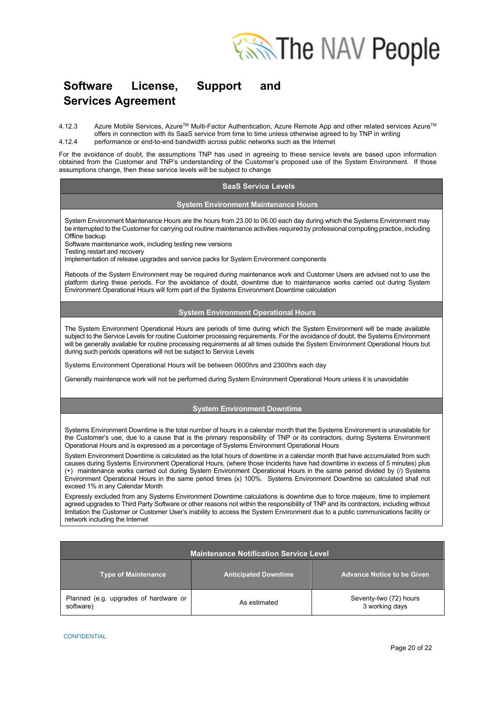

4.12.3 Azure Mobile Services, Azure™ Multi-Factor Authentication, Azure Remote App and other related services Azure™ offers in connection with its SaaS service from time to time unless otherwise agreed to by TNP in writing 4.12.4 performance or end-to-end bandwidth across public networks such as the Internet

For the avoidance of doubt, the assumptions TNP has used in agreeing to these service levels are based upon information obtained from the Customer and TNP's understanding of the Customer's proposed use of the System Environment. If those assumptions change, then these service levels will be subject to change

#### **SaaS Service Levels**

#### **System Environment Maintenance Hours**

System Environment Maintenance Hours are the hours from 23.00 to 06.00 each day during which the Systems Environment may be interrupted to the Customer for carrying out routine maintenance activities required by professional computing practice, including Offline backup

Software maintenance work, including testing new versions

Testing restart and recovery

Implementation of release upgrades and service packs for System Environment components

Reboots of the System Environment may be required during maintenance work and Customer Users are advised not to use the platform during these periods. For the avoidance of doubt, downtime due to maintenance works carried out during System Environment Operational Hours will form part of the Systems Environment Downtime calculation

#### **System Environment Operational Hours**

The System Environment Operational Hours are periods of time during which the System Environment will be made available subject to the Service Levels for routine Customer processing requirements. For the avoidance of doubt, the Systems Environment will be generally available for routine processing requirements at all times outside the System Environment Operational Hours but during such periods operations will not be subject to Service Levels

Systems Environment Operational Hours will be between 0600hrs and 2300hrs each day

Generally maintenance work will not be performed during System Environment Operational Hours unless it is unavoidable

### **System Environment Downtime**

Systems Environment Downtime is the total number of hours in a calendar month that the Systems Environment is unavailable for the Customer's use, due to a cause that is the primary responsibility of TNP or its contractors, during Systems Environment Operational Hours and is expressed as a percentage of Systems Environment Operational Hours

System Environment Downtime is calculated as the total hours of downtime in a calendar month that have accumulated from such causes during Systems Environment Operational Hours, (where those Incidents have had downtime in excess of 5 minutes) plus (+) maintenance works carried out during System Environment Operational Hours in the same period divided by (/) Systems Environment Operational Hours in the same period times (x) 100%. Systems Environment Downtime so calculated shall not exceed 1% in any Calendar Month

Expressly excluded from any Systems Environment Downtime calculations is downtime due to force majeure, time to implement agreed upgrades to Third Party Software or other reasons not within the responsibility of TNP and its contractors, including without limitation the Customer or Customer User's inability to access the System Environment due to a public communications facility or network including the Internet

| <b>Maintenance Notification Service Level</b>      |                             |                                          |  |
|----------------------------------------------------|-----------------------------|------------------------------------------|--|
| <b>Type of Maintenance</b>                         | <b>Anticipated Downtime</b> | <b>Advance Notice to be Given</b>        |  |
| Planned (e.g. upgrades of hardware or<br>software) | As estimated                | Seventy-two (72) hours<br>3 working days |  |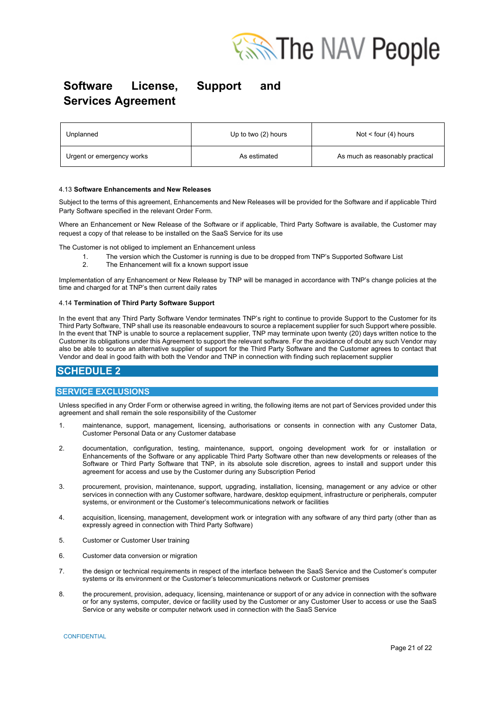

| Unplanned                 | Up to two (2) hours | Not $\le$ four (4) hours        |
|---------------------------|---------------------|---------------------------------|
| Urgent or emergency works | As estimated        | As much as reasonably practical |

#### 4.13 **Software Enhancements and New Releases**

Subject to the terms of this agreement, Enhancements and New Releases will be provided for the Software and if applicable Third Party Software specified in the relevant Order Form.

Where an Enhancement or New Release of the Software or if applicable, Third Party Software is available, the Customer may request a copy of that release to be installed on the SaaS Service for its use

The Customer is not obliged to implement an Enhancement unless

- 1. The version which the Customer is running is due to be dropped from TNP's Supported Software List<br>2. The Enhancement will fix a known support issue
- The Enhancement will fix a known support issue

Implementation of any Enhancement or New Release by TNP will be managed in accordance with TNP's change policies at the time and charged for at TNP's then current daily rates

#### 4.14 **Termination of Third Party Software Support**

In the event that any Third Party Software Vendor terminates TNP's right to continue to provide Support to the Customer for its Third Party Software, TNP shall use its reasonable endeavours to source a replacement supplier for such Support where possible. In the event that TNP is unable to source a replacement supplier, TNP may terminate upon twenty (20) days written notice to the Customer its obligations under this Agreement to support the relevant software. For the avoidance of doubt any such Vendor may also be able to source an alternative supplier of support for the Third Party Software and the Customer agrees to contact that Vendor and deal in good faith with both the Vendor and TNP in connection with finding such replacement supplier

## **SCHEDULE 2**

### **SERVICE EXCLUSIONS**

Unless specified in any Order Form or otherwise agreed in writing, the following items are not part of Services provided under this agreement and shall remain the sole responsibility of the Customer

- 1. maintenance, support, management, licensing, authorisations or consents in connection with any Customer Data, Customer Personal Data or any Customer database
- 2. documentation, configuration, testing, maintenance, support, ongoing development work for or installation or Enhancements of the Software or any applicable Third Party Software other than new developments or releases of the Software or Third Party Software that TNP, in its absolute sole discretion, agrees to install and support under this agreement for access and use by the Customer during any Subscription Period
- 3. procurement, provision, maintenance, support, upgrading, installation, licensing, management or any advice or other services in connection with any Customer software, hardware, desktop equipment, infrastructure or peripherals, computer systems, or environment or the Customer's telecommunications network or facilities
- 4. acquisition, licensing, management, development work or integration with any software of any third party (other than as expressly agreed in connection with Third Party Software)
- 5. Customer or Customer User training
- 6. Customer data conversion or migration
- 7. the design or technical requirements in respect of the interface between the SaaS Service and the Customer's computer systems or its environment or the Customer's telecommunications network or Customer premises
- 8. the procurement, provision, adequacy, licensing, maintenance or support of or any advice in connection with the software or for any systems, computer, device or facility used by the Customer or any Customer User to access or use the SaaS Service or any website or computer network used in connection with the SaaS Service